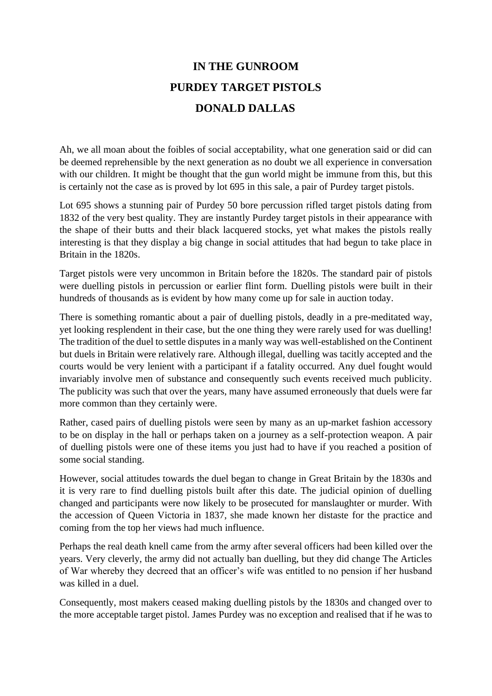## **IN THE GUNROOM PURDEY TARGET PISTOLS DONALD DALLAS**

Ah, we all moan about the foibles of social acceptability, what one generation said or did can be deemed reprehensible by the next generation as no doubt we all experience in conversation with our children. It might be thought that the gun world might be immune from this, but this is certainly not the case as is proved by lot 695 in this sale, a pair of Purdey target pistols.

Lot 695 shows a stunning pair of Purdey 50 bore percussion rifled target pistols dating from 1832 of the very best quality. They are instantly Purdey target pistols in their appearance with the shape of their butts and their black lacquered stocks, yet what makes the pistols really interesting is that they display a big change in social attitudes that had begun to take place in Britain in the 1820s.

Target pistols were very uncommon in Britain before the 1820s. The standard pair of pistols were duelling pistols in percussion or earlier flint form. Duelling pistols were built in their hundreds of thousands as is evident by how many come up for sale in auction today.

There is something romantic about a pair of duelling pistols, deadly in a pre-meditated way, yet looking resplendent in their case, but the one thing they were rarely used for was duelling! The tradition of the duel to settle disputes in a manly way was well-established on the Continent but duels in Britain were relatively rare. Although illegal, duelling was tacitly accepted and the courts would be very lenient with a participant if a fatality occurred. Any duel fought would invariably involve men of substance and consequently such events received much publicity. The publicity was such that over the years, many have assumed erroneously that duels were far more common than they certainly were.

Rather, cased pairs of duelling pistols were seen by many as an up-market fashion accessory to be on display in the hall or perhaps taken on a journey as a self-protection weapon. A pair of duelling pistols were one of these items you just had to have if you reached a position of some social standing.

However, social attitudes towards the duel began to change in Great Britain by the 1830s and it is very rare to find duelling pistols built after this date. The judicial opinion of duelling changed and participants were now likely to be prosecuted for manslaughter or murder. With the accession of Queen Victoria in 1837, she made known her distaste for the practice and coming from the top her views had much influence.

Perhaps the real death knell came from the army after several officers had been killed over the years. Very cleverly, the army did not actually ban duelling, but they did change The Articles of War whereby they decreed that an officer's wife was entitled to no pension if her husband was killed in a duel.

Consequently, most makers ceased making duelling pistols by the 1830s and changed over to the more acceptable target pistol. James Purdey was no exception and realised that if he was to